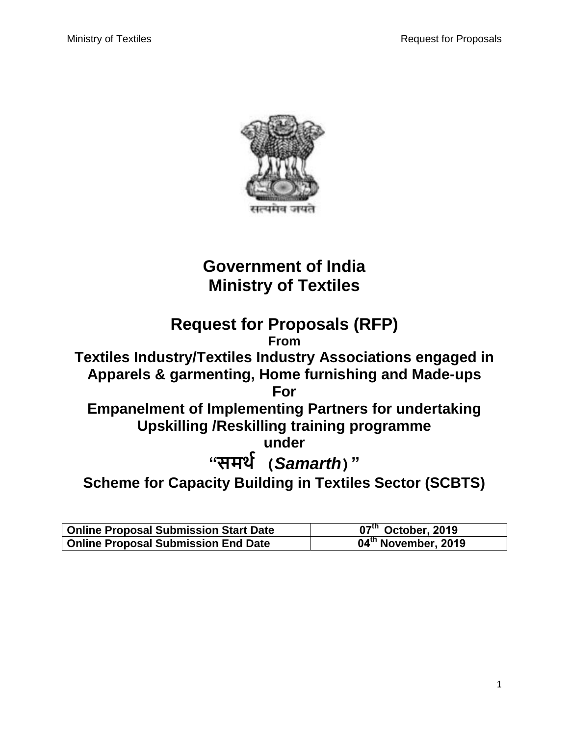

# **Government of India Ministry of Textiles**

## **Request for Proposals (RFP) From Textiles Industry/Textiles Industry Associations engaged in Apparels & garmenting, Home furnishing and Made-ups For Empanelment of Implementing Partners for undertaking Upskilling /Reskilling training programme under "समर्थ (***Samarth***)" Scheme for Capacity Building in Textiles Sector (SCBTS)**

| <b>Online Proposal Submission Start Date</b> | $07th$ October, 2019            |
|----------------------------------------------|---------------------------------|
| <b>Online Proposal Submission End Date</b>   | 04 <sup>th</sup> November, 2019 |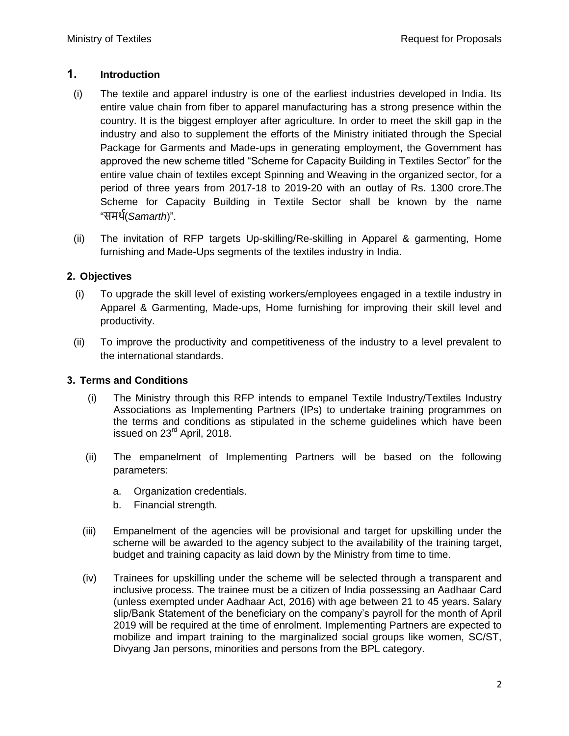## **. Introduction**

- (i) The textile and apparel industry is one of the earliest industries developed in India. Its entire value chain from fiber to apparel manufacturing has a strong presence within the country. It is the biggest employer after agriculture. In order to meet the skill gap in the industry and also to supplement the efforts of the Ministry initiated through the Special Package for Garments and Made-ups in generating employment, the Government has approved the new scheme titled "Scheme for Capacity Building in Textiles Sector" for the entire value chain of textiles except Spinning and Weaving in the organized sector, for a period of three years from 2017-18 to 2019-20 with an outlay of Rs. 1300 crore.The Scheme for Capacity Building in Textile Sector shall be known by the name "समर्थ(*Samarth*)".
- (ii) The invitation of RFP targets Up-skilling/Re-skilling in Apparel & garmenting, Home furnishing and Made-Ups segments of the textiles industry in India.

## **Objectives**

- (i) To upgrade the skill level of existing workers/employees engaged in a textile industry in Apparel & Garmenting, Made-ups, Home furnishing for improving their skill level and productivity.
- (ii) To improve the productivity and competitiveness of the industry to a level prevalent to the international standards.

## **. Terms and Conditions**

- (i) The Ministry through this RFP intends to empanel Textile Industry/Textiles Industry Associations as Implementing Partners (IPs) to undertake training programmes on the terms and conditions as stipulated in the scheme guidelines which have been issued on 23<sup>rd</sup> April, 2018.
- (ii) The empanelment of Implementing Partners will be based on the following parameters:
	- a. Organization credentials.
	- b. Financial strength.
- (iii) Empanelment of the agencies will be provisional and target for upskilling under the scheme will be awarded to the agency subject to the availability of the training target, budget and training capacity as laid down by the Ministry from time to time.
- (iv) Trainees for upskilling under the scheme will be selected through a transparent and inclusive process. The trainee must be a citizen of India possessing an Aadhaar Card (unless exempted under Aadhaar Act, 2016) with age between 21 to 45 years. Salary slip/Bank Statement of the beneficiary on the company's payroll for the month of April 2019 will be required at the time of enrolment. Implementing Partners are expected to mobilize and impart training to the marginalized social groups like women, SC/ST, Divyang Jan persons, minorities and persons from the BPL category.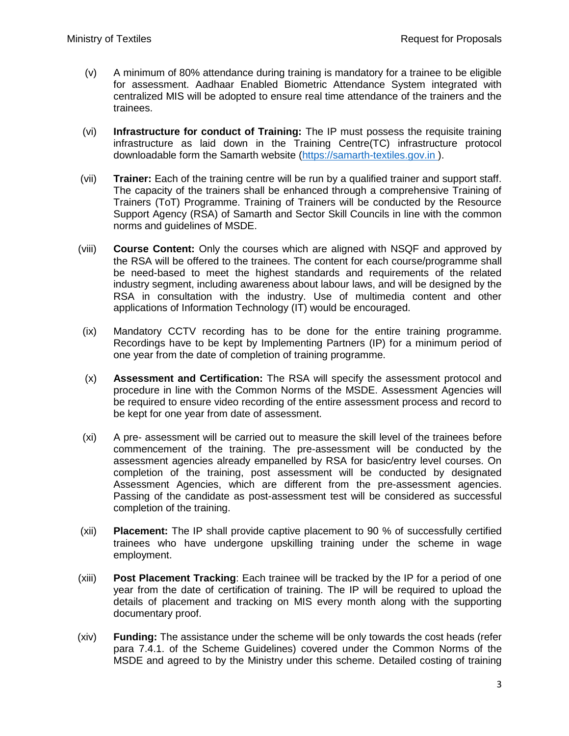- (v) A minimum of 80% attendance during training is mandatory for a trainee to be eligible for assessment. Aadhaar Enabled Biometric Attendance System integrated with centralized MIS will be adopted to ensure real time attendance of the trainers and the trainees.
- (vi) **Infrastructure for conduct of Training:** The IP must possess the requisite training infrastructure as laid down in the Training Centre(TC) infrastructure protocol downloadable form the Samarth website (https://samarth-textiles.gov.in ).
- (vii) **Trainer:** Each of the training centre will be run by a qualified trainer and support staff. The capacity of the trainers shall be enhanced through a comprehensive Training of Trainers (ToT) Programme. Training of Trainers will be conducted by the Resource Support Agency (RSA) of Samarth and Sector Skill Councils in line with the common norms and guidelines of MSDE.
- (viii) **Course Content:** Only the courses which are aligned with NSQF and approved by the RSA will be offered to the trainees. The content for each course/programme shall be need-based to meet the highest standards and requirements of the related industry segment, including awareness about labour laws, and will be designed by the RSA in consultation with the industry. Use of multimedia content and other applications of Information Technology (IT) would be encouraged.
- (ix) Mandatory CCTV recording has to be done for the entire training programme. Recordings have to be kept by Implementing Partners (IP) for a minimum period of one year from the date of completion of training programme.
- (x) **Assessment and Certification:** The RSA will specify the assessment protocol and procedure in line with the Common Norms of the MSDE. Assessment Agencies will be required to ensure video recording of the entire assessment process and record to be kept for one year from date of assessment.
- (xi) A pre- assessment will be carried out to measure the skill level of the trainees before commencement of the training. The pre-assessment will be conducted by the assessment agencies already empanelled by RSA for basic/entry level courses. On completion of the training, post assessment will be conducted by designated Assessment Agencies, which are different from the pre-assessment agencies. Passing of the candidate as post-assessment test will be considered as successful completion of the training.
- (xii) **Placement:** The IP shall provide captive placement to 0 % of successfully certified trainees who have undergone upskilling training under the scheme in wage employment.
- (xiii) **Post Placement Tracking**: Each trainee will be tracked by the IP for a period of one year from the date of certification of training. The IP will be required to upload the details of placement and tracking on MIS every month along with the supporting documentary proof.
- (xiv) **Funding:** The assistance under the scheme will be only towards the cost heads (refer para 7.4.1. of the Scheme Guidelines) covered under the Common Norms of the MSDE and agreed to by the Ministry under this scheme. Detailed costing of training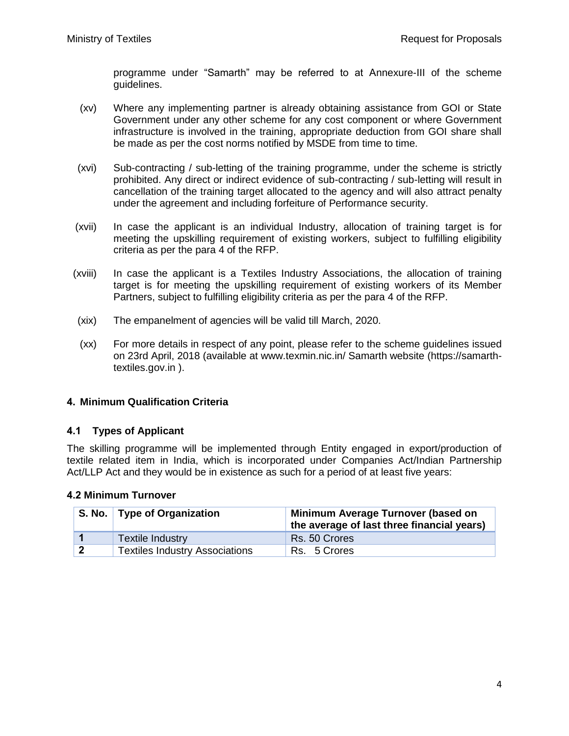programme under "Samarth" may be referred to at Annexure-III of the scheme guidelines.

- (xv) Where any implementing partner is already obtaining assistance from GOI or State Government under any other scheme for any cost component or where Government infrastructure is involved in the training, appropriate deduction from GOI share shall be made as per the cost norms notified by MSDE from time to time.
- (xvi) Sub-contracting / sub-letting of the training programme, under the scheme is strictly prohibited. Any direct or indirect evidence of sub-contracting / sub-letting will result in cancellation of the training target allocated to the agency and will also attract penalty under the agreement and including forfeiture of Performance security.
- (xvii) In case the applicant is an individual Industry, allocation of training target is for meeting the upskilling requirement of existing workers, subject to fulfilling eligibility criteria as per the para 4 of the RFP.
- (xviii) In case the applicant is a Textiles Industry Associations, the allocation of training target is for meeting the upskilling requirement of existing workers of its Member Partners, subject to fulfilling eligibility criteria as per the para 4 of the RFP.
- (xix) The empanelment of agencies will be valid till March, 2020.
- (xx) For more details in respect of any point, please refer to the scheme guidelines issued on 23rd April, 2018 (available at www.texmin.nic.in/ Samarth website (https://samarthtextiles.gov.in ).

#### **. Minimum Qualification Criteria**

#### **Types of Applicant**

The skilling programme will be implemented through Entity engaged in export/production of textile related item in India, which is incorporated under Companies Act/Indian Partnership Act/LLP Act and they would be in existence as such for a period of at least five years:

#### **Minimum Turnover**

| S. No.   Type of Organization         | Minimum Average Turnover (based on<br>the average of last three financial years) |
|---------------------------------------|----------------------------------------------------------------------------------|
| <b>Textile Industry</b>               | Rs. 50 Crores                                                                    |
| <b>Textiles Industry Associations</b> | Rs. 5 Crores                                                                     |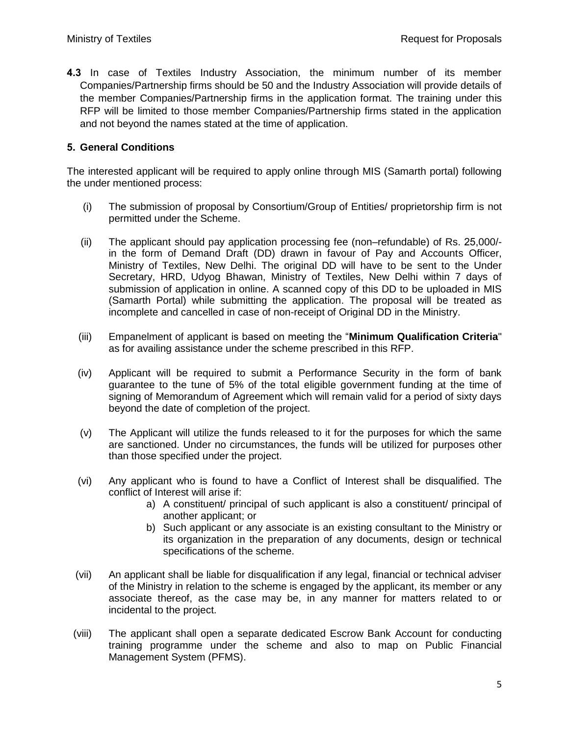**4.3** In case of Textiles Industry Association, the minimum number of its member Companies/Partnership firms should be 50 and the Industry Association will provide details of the member Companies/Partnership firms in the application format. The training under this RFP will be limited to those member Companies/Partnership firms stated in the application and not beyond the names stated at the time of application.

#### **. General Conditions**

The interested applicant will be required to apply online through MIS (Samarth portal) following the under mentioned process:

- (i) The submission of proposal by Consortium/Group of Entities/ proprietorship firm is not permitted under the Scheme.
- (ii) The applicant should pay application processing fee (non–refundable) of Rs.  $25,000/4$ in the form of Demand Draft (DD) drawn in favour of Pay and Accounts Officer, Ministry of Textiles, New Delhi. The original DD will have to be sent to the Under Secretary, HRD, Udyog Bhawan, Ministry of Textiles, New Delhi within 7 days of submission of application in online. A scanned copy of this DD to be uploaded in MIS (Samarth Portal) while submitting the application. The proposal will be treated as incomplete and cancelled in case of non-receipt of Original DD in the Ministry.
- (iii) Empanelment of applicant is based on meeting the "**Minimum Qualification Criteria**" as for availing assistance under the scheme prescribed in this RFP.
- (iv) Applicant will be required to submit a Performance Security in the form of bank guarantee to the tune of 5% of the total eligible government funding at the time of signing of Memorandum of Agreement which will remain valid for a period of sixty days beyond the date of completion of the project.
- (v) The Applicant will utilize the funds released to it for the purposes for which the same are sanctioned. Under no circumstances, the funds will be utilized for purposes other than those specified under the project.
- (vi) Any applicant who is found to have a Conflict of Interest shall be disqualified. The conflict of Interest will arise if:
	- a) A constituent/ principal of such applicant is also a constituent/ principal of another applicant; or
	- b) Such applicant or any associate is an existing consultant to the Ministry or its organization in the preparation of any documents, design or technical specifications of the scheme.
- (vii) An applicant shall be liable for disqualification if any legal, financial or technical adviser of the Ministry in relation to the scheme is engaged by the applicant, its member or any associate thereof, as the case may be, in any manner for matters related to or incidental to the project.
- (viii) The applicant shall open a separate dedicated Escrow Bank Account for conducting training programme under the scheme and also to map on Public Financial Management System (PFMS).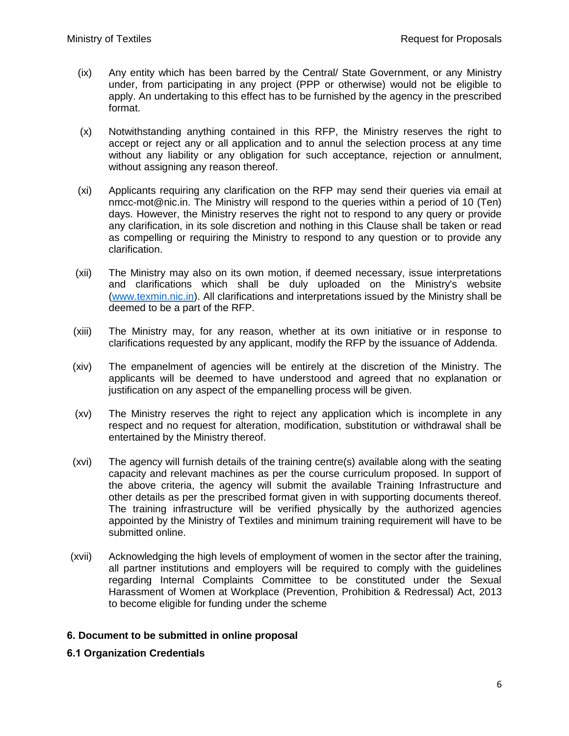- (ix) Any entity which has been barred by the Central/ State Government, or any Ministry under, from participating in any project (PPP or otherwise) would not be eligible to apply. An undertaking to this effect has to be furnished by the agency in the prescribed format.
- (x) Notwithstanding anything contained in this RFP, the Ministry reserves the right to accept or reject any or all application and to annul the selection process at any time without any liability or any obligation for such acceptance, rejection or annulment, without assigning any reason thereof.
- (xi) Applicants requiring any clarification on the RFP may send their queries via email at nmcc-mot@nic.in. The Ministry will respond to the queries within a period of 10 (Ten) days. However, the Ministry reserves the right not to respond to any query or provide any clarification, in its sole discretion and nothing in this Clause shall be taken or read as compelling or requiring the Ministry to respond to any question or to provide any clarification.
- (xii) The Ministry may also on its own motion, if deemed necessary, issue interpretations and clarifications which shall be duly uploaded on the Ministry's website [\(www.texmin.nic.in\)](http://www.texmin.nic.in/). All clarifications and interpretations issued by the Ministry shall be deemed to be a part of the RFP.
- (xiii) The Ministry may, for any reason, whether at its own initiative or in response to clarifications requested by any applicant, modify the RFP by the issuance of Addenda.
- (xiv) The empanelment of agencies will be entirely at the discretion of the Ministry. The applicants will be deemed to have understood and agreed that no explanation or justification on any aspect of the empanelling process will be given.
- (xv) The Ministry reserves the right to reject any application which is incomplete in any respect and no request for alteration, modification, substitution or withdrawal shall be entertained by the Ministry thereof.
- (xvi) The agency will furnish details of the training centre(s) available along with the seating capacity and relevant machines as per the course curriculum proposed. In support of the above criteria, the agency will submit the available Training Infrastructure and other details as per the prescribed format given in with supporting documents thereof. The training infrastructure will be verified physically by the authorized agencies appointed by the Ministry of Textiles and minimum training requirement will have to be submitted online.
- (xvii) Acknowledging the high levels of employment of women in the sector after the training, all partner institutions and employers will be required to comply with the guidelines regarding Internal Complaints Committee to be constituted under the Sexual Harassment of Women at Workplace (Prevention, Prohibition & Redressal) Act, 2013 to become eligible for funding under the scheme

## **. Document to be submitted in online proposal**

#### **Organization Credentials**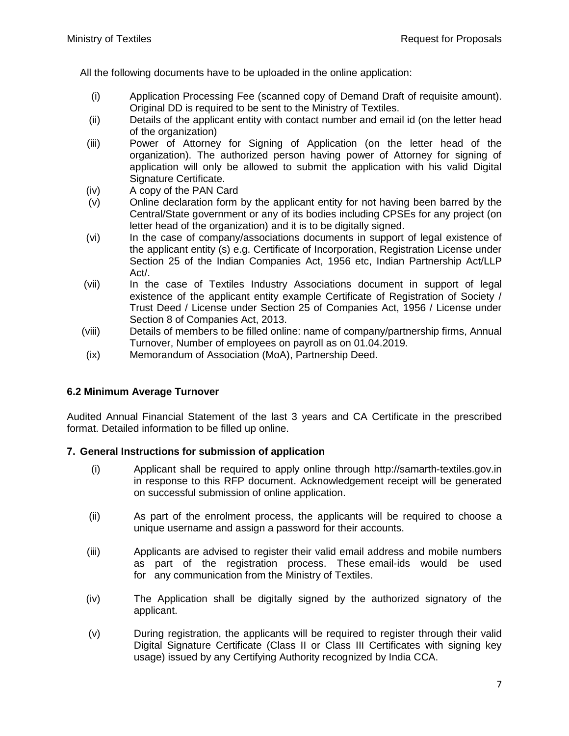All the following documents have to be uploaded in the online application:

- (i) Application Processing Fee (scanned copy of Demand Draft of requisite amount). Original DD is required to be sent to the Ministry of Textiles.
- (ii) Details of the applicant entity with contact number and email id (on the letter head of the organization)
- (iii) Power of Attorney for Signing of Application (on the letter head of the organization). The authorized person having power of Attorney for signing of application will only be allowed to submit the application with his valid Digital Signature Certificate.
- (iv) A copy of the PAN Card
- (v) Online declaration form by the applicant entity for not having been barred by the Central/State government or any of its bodies including CPSEs for any project (on letter head of the organization) and it is to be digitally signed.
- (vi) In the case of company/associations documents in support of legal existence of the applicant entity (s) e.g. Certificate of Incorporation, Registration License under Section 25 of the Indian Companies Act, 1956 etc, Indian Partnership Act/LLP Act/.
- (vii) In the case of Textiles Industry Associations document in support of legal existence of the applicant entity example Certificate of Registration of Society / Trust Deed / License under Section 25 of Companies Act, 1956 / License under Section 8 of Companies Act, 2013.
- (viii) Details of members to be filled online: name of company/partnership firms, Annual Turnover, Number of employees on payroll as on 01.04.2019.
- (ix) Memorandum of Association (MoA), Partnership Deed.

## **6.2 Minimum Average Turnover**

Audited Annual Financial Statement of the last 3 years and CA Certificate in the prescribed format. Detailed information to be filled up online.

#### **. General Instructions for submission of application**

- (i) Applicant shall be required to apply online through http://samarth-textiles.gov.in in response to this RFP document. Acknowledgement receipt will be generated on successful submission of online application.
- (ii) As part of the enrolment process, the applicants will be required to choose a unique username and assign a password for their accounts.
- (iii) Applicants are advised to register their valid email address and mobile numbers as part of the registration process. These email-ids would be used for any communication from the Ministry of Textiles.
- (iv) The Application shall be digitally signed by the authorized signatory of the applicant.
- (v) During registration, the applicants will be required to register through their valid Digital Signature Certificate (Class II or Class III Certificates with signing key usage) issued by any Certifying Authority recognized by India CCA.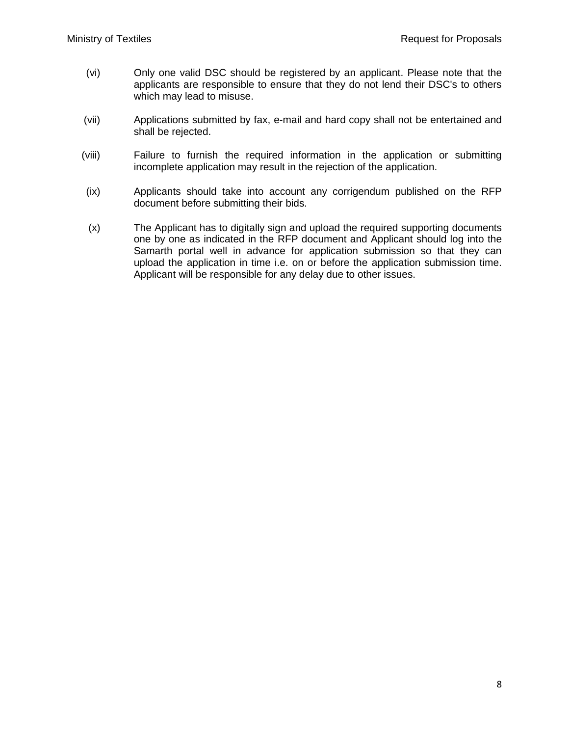- (vi) Only one valid DSC should be registered by an applicant. Please note that the applicants are responsible to ensure that they do not lend their DSC's to others which may lead to misuse.
- (vii) Applications submitted by fax, e-mail and hard copy shall not be entertained and shall be rejected.
- (viii) Failure to furnish the required information in the application or submitting incomplete application may result in the rejection of the application.
- (ix) Applicants should take into account any corrigendum published on the RFP document before submitting their bids.
- (x) The Applicant has to digitally sign and upload the required supporting documents one by one as indicated in the RFP document and Applicant should log into the Samarth portal well in advance for application submission so that they can upload the application in time i.e. on or before the application submission time. Applicant will be responsible for any delay due to other issues.